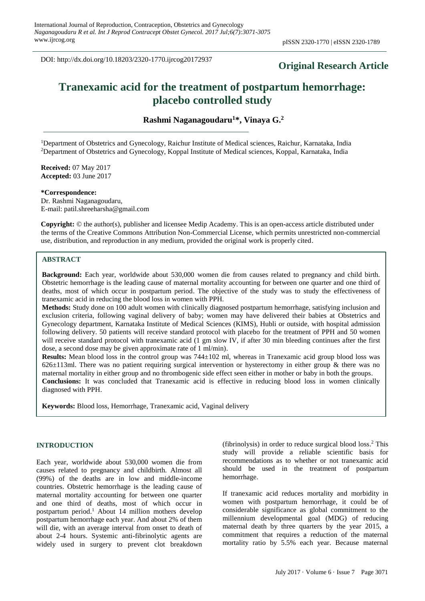DOI: http://dx.doi.org/10.18203/2320-1770.ijrcog20172937

# **Original Research Article**

# **Tranexamic acid for the treatment of postpartum hemorrhage: placebo controlled study**

**Rashmi Naganagoudaru<sup>1</sup>\*, Vinaya G. 2**

<sup>1</sup>Department of Obstetrics and Gynecology, Raichur Institute of Medical sciences, Raichur, Karnataka, India <sup>2</sup>Department of Obstetrics and Gynecology, Koppal Institute of Medical sciences, Koppal, Karnataka, India

**Received:** 07 May 2017 **Accepted:** 03 June 2017

**\*Correspondence:**

Dr. Rashmi Naganagoudaru, E-mail: patil.shreeharsha@gmail.com

**Copyright:** © the author(s), publisher and licensee Medip Academy. This is an open-access article distributed under the terms of the Creative Commons Attribution Non-Commercial License, which permits unrestricted non-commercial use, distribution, and reproduction in any medium, provided the original work is properly cited.

#### **ABSTRACT**

**Background:** Each year, worldwide about 530,000 women die from causes related to pregnancy and child birth. Obstetric hemorrhage is the leading cause of maternal mortality accounting for between one quarter and one third of deaths, most of which occur in postpartum period. The objective of the study was to study the effectiveness of tranexamic acid in reducing the blood loss in women with PPH.

**Methods:** Study done on 100 adult women with clinically diagnosed postpartum hemorrhage, satisfying inclusion and exclusion criteria, following vaginal delivery of baby; women may have delivered their babies at Obstetrics and Gynecology department, Karnataka Institute of Medical Sciences (KIMS), Hubli or outside, with hospital admission following delivery. 50 patients will receive standard protocol with placebo for the treatment of PPH and 50 women will receive standard protocol with tranexamic acid (1 gm slow IV, if after 30 min bleeding continues after the first dose, a second dose may be given approximate rate of 1 ml/min).

**Results:** Mean blood loss in the control group was 744±102 ml, whereas in Tranexamic acid group blood loss was  $626\pm113$ ml. There was no patient requiring surgical intervention or hysterectomy in either group & there was no maternal mortality in either group and no thrombogenic side effect seen either in mother or baby in both the groups. **Conclusions:** It was concluded that Tranexamic acid is effective in reducing blood loss in women clinically diagnosed with PPH.

**Keywords:** Blood loss, Hemorrhage, Tranexamic acid, Vaginal delivery

#### **INTRODUCTION**

Each year, worldwide about 530,000 women die from causes related to pregnancy and childbirth. Almost all (99%) of the deaths are in low and middle-income countries. Obstetric hemorrhage is the leading cause of maternal mortality accounting for between one quarter and one third of deaths, most of which occur in postpartum period. <sup>1</sup> About 14 million mothers develop postpartum hemorrhage each year. And about 2% of them will die, with an average interval from onset to death of about 2-4 hours. Systemic anti-fibrinolytic agents are widely used in surgery to prevent clot breakdown

(fibrinolysis) in order to reduce surgical blood loss. <sup>2</sup> This study will provide a reliable scientific basis for recommendations as to whether or not tranexamic acid should be used in the treatment of postpartum hemorrhage.

If tranexamic acid reduces mortality and morbidity in women with postpartum hemorrhage, it could be of considerable significance as global commitment to the millennium developmental goal (MDG) of reducing maternal death by three quarters by the year 2015, a commitment that requires a reduction of the maternal mortality ratio by 5.5% each year. Because maternal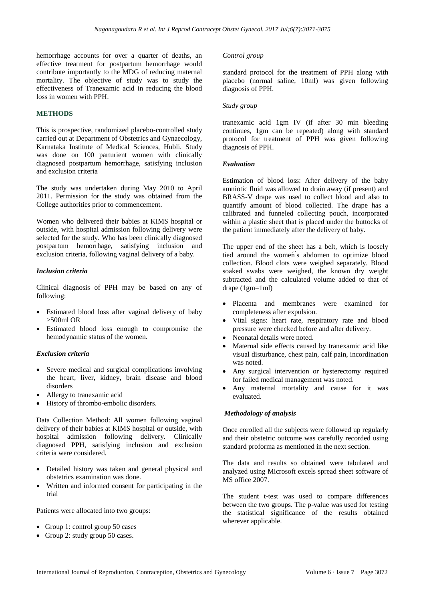hemorrhage accounts for over a quarter of deaths, an effective treatment for postpartum hemorrhage would contribute importantly to the MDG of reducing maternal mortality. The objective of study was to study the effectiveness of Tranexamic acid in reducing the blood loss in women with PPH.

### **METHODS**

This is prospective, randomized placebo-controlled study carried out at Department of Obstetrics and Gynaecology, Karnataka Institute of Medical Sciences, Hubli. Study was done on 100 parturient women with clinically diagnosed postpartum hemorrhage, satisfying inclusion and exclusion criteria

The study was undertaken during May 2010 to April 2011. Permission for the study was obtained from the College authorities prior to commencement.

Women who delivered their babies at KIMS hospital or outside, with hospital admission following delivery were selected for the study. Who has been clinically diagnosed postpartum hemorrhage, satisfying inclusion and exclusion criteria, following vaginal delivery of a baby.

#### *Inclusion criteria*

Clinical diagnosis of PPH may be based on any of following:

- Estimated blood loss after vaginal delivery of baby >500ml OR
- Estimated blood loss enough to compromise the hemodynamic status of the women.

#### *Exclusion criteria*

- Severe medical and surgical complications involving the heart, liver, kidney, brain disease and blood disorders
- Allergy to tranexamic acid
- History of thrombo-embolic disorders.

Data Collection Method: All women following vaginal delivery of their babies at KIMS hospital or outside, with hospital admission following delivery. Clinically diagnosed PPH, satisfying inclusion and exclusion criteria were considered.

- Detailed history was taken and general physical and obstetrics examination was done.
- Written and informed consent for participating in the trial

Patients were allocated into two groups:

- Group 1: control group 50 cases
- Group 2: study group 50 cases.

#### *Control group*

standard protocol for the treatment of PPH along with placebo (normal saline, 10ml) was given following diagnosis of PPH.

#### *Study group*

tranexamic acid 1gm IV (if after 30 min bleeding continues, 1gm can be repeated) along with standard protocol for treatment of PPH was given following diagnosis of PPH.

#### *Evaluation*

Estimation of blood loss: After delivery of the baby amniotic fluid was allowed to drain away (if present) and BRASS-V drape was used to collect blood and also to quantify amount of blood collected. The drape has a calibrated and funneled collecting pouch, incorporated within a plastic sheet that is placed under the buttocks of the patient immediately after the delivery of baby.

The upper end of the sheet has a belt, which is loosely tied around the womeń ́s abdomen to optimize blood collection. Blood clots were weighed separately. Blood soaked swabs were weighed, the known dry weight subtracted and the calculated volume added to that of drape (1gm=1ml)

- Placenta and membranes were examined for completeness after expulsion.
- Vital signs: heart rate, respiratory rate and blood pressure were checked before and after delivery.
- Neonatal details were noted.
- Maternal side effects caused by tranexamic acid like visual disturbance, chest pain, calf pain, incordination was noted.
- Any surgical intervention or hysterectomy required for failed medical management was noted.
- Any maternal mortality and cause for it was evaluated.

### *Methodology of analysis*

Once enrolled all the subjects were followed up regularly and their obstetric outcome was carefully recorded using standard proforma as mentioned in the next section.

The data and results so obtained were tabulated and analyzed using Microsoft excels spread sheet software of MS office 2007.

The student t-test was used to compare differences between the two groups. The p-value was used for testing the statistical significance of the results obtained wherever applicable.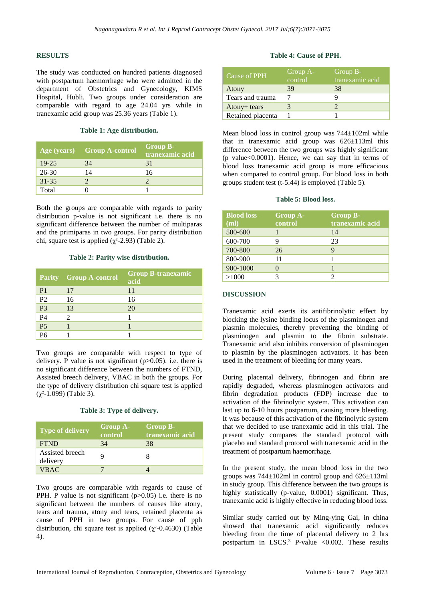#### **RESULTS**

The study was conducted on hundred patients diagnosed with postpartum haemorrhage who were admitted in the department of Obstetrics and Gynecology, KIMS Hospital, Hubli. Two groups under consideration are comparable with regard to age 24.04 yrs while in tranexamic acid group was 25.36 years (Table 1).

#### **Table 1: Age distribution.**

|           | Age (years) Group A-control | <b>Group B-</b><br>tranexamic acid |
|-----------|-----------------------------|------------------------------------|
| $19 - 25$ | 34                          | 31                                 |
| $26 - 30$ | 14                          | 16                                 |
| $31 - 35$ |                             |                                    |
| Total     |                             |                                    |

Both the groups are comparable with regards to parity distribution p-value is not significant i.e. there is no significant difference between the number of multiparas and the primiparas in two groups. For parity distribution chi, square test is applied ( $χ²$ -2.93) (Table 2).

#### **Table 2: Parity wise distribution.**

|                | <b>Parity</b> Group A-control | <b>Group B-tranexamic</b><br>acid |
|----------------|-------------------------------|-----------------------------------|
| P <sub>1</sub> | 17                            | 11                                |
| P <sub>2</sub> | 16                            | 16                                |
| P <sub>3</sub> | 13                            | 20                                |
| P <sub>4</sub> | $\mathcal{D}_{\mathcal{A}}$   |                                   |
| P <sub>5</sub> |                               |                                   |
| P <sub>6</sub> |                               |                                   |

Two groups are comparable with respect to type of delivery. P value is not significant  $(p>0.05)$ . i.e. there is no significant difference between the numbers of FTND, Assisted breech delivery, VBAC in both the groups. For the type of delivery distribution chi square test is applied (χ²-1.099) (Table 3).

### **Table 3: Type of delivery.**

| Type of delivery            | <b>Group A-</b><br>control | <b>Group B-</b><br>tranexamic acid |
|-----------------------------|----------------------------|------------------------------------|
| <b>FTND</b>                 | 34                         | 38                                 |
| Assisted breech<br>delivery |                            |                                    |
| <b>VBAC</b>                 |                            |                                    |

Two groups are comparable with regards to cause of PPH. P value is not significant  $(p>0.05)$  i.e. there is no significant between the numbers of causes like atony, tears and trauma, atony and tears, retained placenta as cause of PPH in two groups. For cause of pph distribution, chi square test is applied  $(\gamma^2 - 0.4630)$  (Table 4).

#### **Table 4: Cause of PPH.**

| Cause of PPH      | Group A-<br>control | Group B-<br>tranexamic acid |
|-------------------|---------------------|-----------------------------|
| Atony             | 39                  | 38                          |
| Tears and trauma  |                     |                             |
| Atony+ tears      |                     |                             |
| Retained placenta |                     |                             |

Mean blood loss in control group was 744±102ml while that in tranexamic acid group was 626±113ml this difference between the two groups was highly significant (p value $<0.0001$ ). Hence, we can say that in terms of blood loss tranexamic acid group is more efficacious when compared to control group. For blood loss in both groups student test (t-5.44) is employed (Table 5).

#### **Table 5: Blood loss.**

| <b>Blood loss</b><br>(ml) | <b>Group A-</b><br>control | <b>Group B-</b><br>tranexamic acid |
|---------------------------|----------------------------|------------------------------------|
| 500-600                   |                            | 14                                 |
| 600-700                   | 9                          | 23                                 |
| 700-800                   | 26                         | 9                                  |
| 800-900                   | 11                         |                                    |
| 900-1000                  |                            |                                    |
| >1000                     |                            |                                    |

## **DISCUSSION**

Tranexamic acid exerts its antifibrinolytic effect by blocking the lysine binding locus of the plasminogen and plasmin molecules, thereby preventing the binding of plasminogen and plasmin to the fibnin substrate. Tranexamic acid also inhibits conversion of plasminogen to plasmin by the plasminogen activators. It has been used in the treatment of bleeding for many years.

During placental delivery, fibrinogen and fibrin are rapidly degraded, whereas plasminogen activators and fibrin degradation products (FDP) increase due to activation of the fibrinolytic system. This activation can last up to 6-10 hours postpartum, causing more bleeding. It was because of this activation of the fibrinolytic system that we decided to use tranexamic acid in this trial. The present study compares the standard protocol with placebo and standard protocol with tranexamic acid in the treatment of postpartum haemorrhage.

In the present study, the mean blood loss in the two groups was  $744\pm102$ ml in control group and  $626\pm113$ ml in study group. This difference between the two groups is highly statistically (p-value, 0.0001) significant. Thus, tranexamic acid is highly effective in reducing blood loss.

Similar study carried out by Ming-ying Gai, in china showed that tranexamic acid significantly reduces bleeding from the time of placental delivery to 2 hrs postpartum in LSCS.<sup>3</sup> P-value <0.002. These results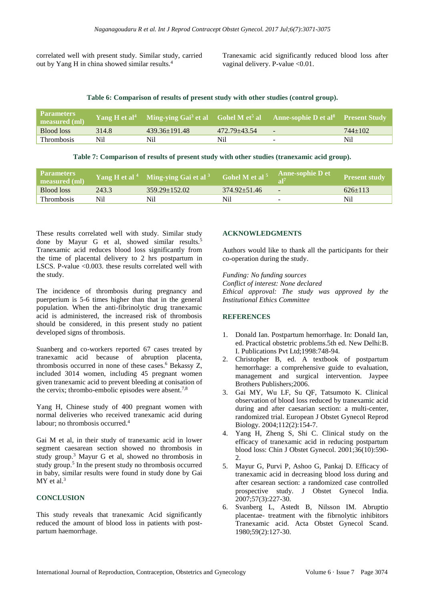correlated well with present study. Similar study, carried out by Yang H in china showed similar results.<sup>4</sup>

Tranexamic acid significantly reduced blood loss after vaginal delivery. P-value <0.01.

#### **Table 6: Comparison of results of present study with other studies (control group).**

| <b>Parameters</b><br>measured (ml) | Yang H et al <sup>4</sup> |                     |              | Ming-ying Gai <sup>3</sup> et al Gohel M et <sup>5</sup> al Anne-sophie D et al <sup>8</sup> Present Study |           |
|------------------------------------|---------------------------|---------------------|--------------|------------------------------------------------------------------------------------------------------------|-----------|
| Blood loss                         | 314.8                     | $439.36 \pm 191.48$ | 472.79+43.54 | $\overline{\phantom{a}}$                                                                                   | $744+102$ |
| <b>Thrombosis</b>                  | Ni1                       | Nil                 | Nil.         |                                                                                                            | Nil       |

**Table 7: Comparison of results of present study with other studies (tranexamic acid group).**

| <b>Parameters</b><br>measured (ml) |       | Yang H et al <sup>4</sup> Ming-ying Gai et al <sup>3</sup> | Gohel M et al <sup>5</sup> | <b>Anne-sophie D et</b>  | <b>Present study</b> |
|------------------------------------|-------|------------------------------------------------------------|----------------------------|--------------------------|----------------------|
| Blood loss                         | 243.3 | $359.29 \pm 152.02$                                        | $374.92 \pm 51.46$         | $\overline{\phantom{a}}$ | $626+113$            |
| <b>Thrombosis</b>                  | Nil   | Nil                                                        | Nil                        | -                        | Nil                  |

These results correlated well with study. Similar study done by Mayur G et al, showed similar results.<sup>5</sup> Tranexamic acid reduces blood loss significantly from the time of placental delivery to 2 hrs postpartum in LSCS. P-value <0.003. these results correlated well with the study.

The incidence of thrombosis during pregnancy and puerperium is 5-6 times higher than that in the general population. When the anti-fibrinolytic drug tranexamic acid is administered, the increased risk of thrombosis should be considered, in this present study no patient developed signs of thrombosis.

Suanberg and co-workers reported 67 cases treated by tranexamic acid because of abruption placenta, thrombosis occurred in none of these cases.<sup>6</sup> Bekassy Z, included 3014 women, including 45 pregnant women given tranexamic acid to prevent bleeding at conisation of the cervix; thrombo-embolic episodes were absent.<sup>7,8</sup>

Yang H, Chinese study of 400 pregnant women with normal deliveries who received tranexamic acid during labour; no thrombosis occurred.<sup>4</sup>

Gai M et al, in their study of tranexamic acid in lower segment caesarean section showed no thrombosis in study group.<sup>3</sup> Mayur G et al, showed no thrombosis in study group.<sup>5</sup> In the present study no thrombosis occurred in baby, similar results were found in study done by Gai MY et al.<sup>3</sup>

### **CONCLUSION**

This study reveals that tranexamic Acid significantly reduced the amount of blood loss in patients with postpartum haemorrhage.

### **ACKNOWLEDGMENTS**

Authors would like to thank all the participants for their co-operation during the study.

*Funding: No funding sources Conflict of interest: None declared Ethical approval: The study was approved by the Institutional Ethics Committee*

### **REFERENCES**

- 1. Donald Ian. Postpartum hemorrhage. In: Donald Ian, ed. Practical obstetric problems.5th ed. New Delhi:B. I. Publications Pvt Ltd;1998:748-94.
- 2. Christopher B, ed. A textbook of postpartum hemorrhage: a comprehensive guide to evaluation, management and surgical intervention. Jaypee Brothers Publishers;2006.
- 3. Gai MY, Wu LF, Su QF, Tatsumoto K. Clinical observation of blood loss reduced by tranexamic acid during and after caesarian section: a multi-center, randomized trial. European J Obstet Gynecol Reprod Biology. 2004;112(2):154-7.
- 4. Yang H, Zheng S, Shi C. Clinical study on the efficacy of tranexamic acid in reducing postpartum blood loss: Chin J Obstet Gynecol. 2001;36(10):590- 2.
- 5. Mayur G, Purvi P, Ashoo G, Pankaj D. Efficacy of tranexamic acid in decreasing blood loss during and after cesarean section: a randomized case controlled prospective study. J Obstet Gynecol India. 2007;57(3):227-30.
- 6. Svanberg L, Astedt B, Nilsson IM. Abruptio placentae- treatment with the fibrnolytic inhibitors Tranexamic acid. Acta Obstet Gynecol Scand. 1980;59(2):127-30.